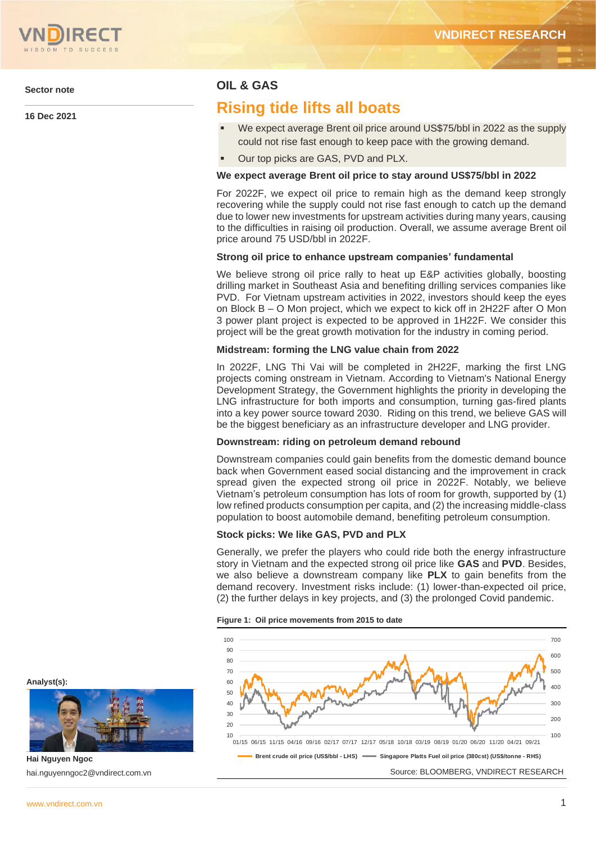

**Sector note**

**16 Dec 2021**

# **OIL & GAS**

# **Rising tide lifts all boats**

- We expect average Brent oil price around US\$75/bbl in 2022 as the supply could not rise fast enough to keep pace with the growing demand.
- Our top picks are GAS, PVD and PLX.

#### **We expect average Brent oil price to stay around US\$75/bbl in 2022**

For 2022F, we expect oil price to remain high as the demand keep strongly recovering while the supply could not rise fast enough to catch up the demand due to lower new investments for upstream activities during many years, causing to the difficulties in raising oil production. Overall, we assume average Brent oil price around 75 USD/bbl in 2022F.

#### **Strong oil price to enhance upstream companies' fundamental**

We believe strong oil price rally to heat up E&P activities globally, boosting drilling market in Southeast Asia and benefiting drilling services companies like PVD. For Vietnam upstream activities in 2022, investors should keep the eyes on Block B – O Mon project, which we expect to kick off in 2H22F after O Mon 3 power plant project is expected to be approved in 1H22F. We consider this project will be the great growth motivation for the industry in coming period.

#### **Midstream: forming the LNG value chain from 2022**

In 2022F, LNG Thi Vai will be completed in 2H22F, marking the first LNG projects coming onstream in Vietnam. According to Vietnam's National Energy Development Strategy, the Government highlights the priority in developing the LNG infrastructure for both imports and consumption, turning gas-fired plants into a key power source toward 2030. Riding on this trend, we believe GAS will be the biggest beneficiary as an infrastructure developer and LNG provider.

#### **Downstream: riding on petroleum demand rebound**

Downstream companies could gain benefits from the domestic demand bounce back when Government eased social distancing and the improvement in crack spread given the expected strong oil price in 2022F. Notably, we believe Vietnam's petroleum consumption has lots of room for growth, supported by (1) low refined products consumption per capita, and (2) the increasing middle-class population to boost automobile demand, benefiting petroleum consumption.

#### **Stock picks: We like GAS, PVD and PLX**

Generally, we prefer the players who could ride both the energy infrastructure story in Vietnam and the expected strong oil price like **GAS** and **PVD**. Besides, we also believe a downstream company like **PLX** to gain benefits from the demand recovery. Investment risks include: (1) lower-than-expected oil price, (2) the further delays in key projects, and (3) the prolonged Covid pandemic.

#### **Figure 1: Oil price movements from 2015 to date**



**Analyst(s):**



**Hai Nguyen Ngoc** hai.nguyenngoc2@vndirect.com.vn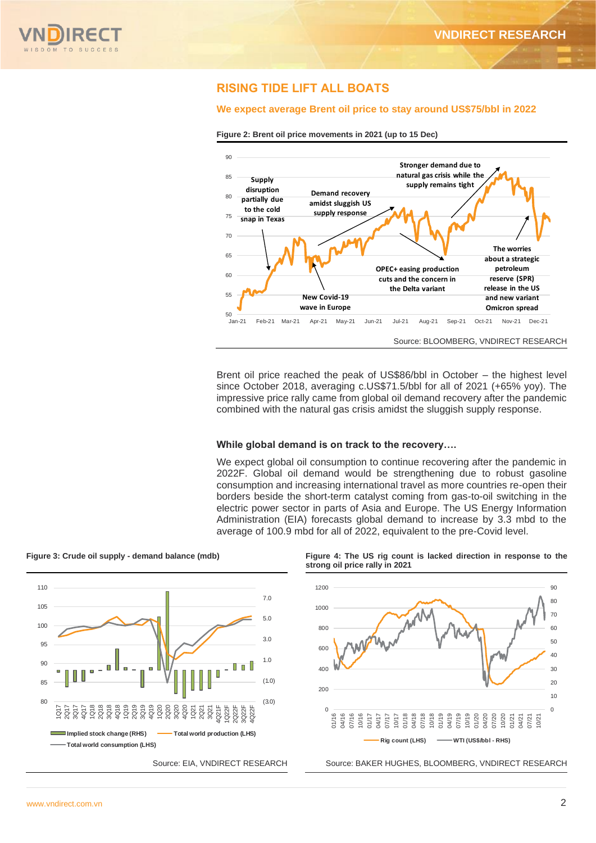

## **RISING TIDE LIFT ALL BOATS**

#### **We expect average Brent oil price to stay around US\$75/bbl in 2022**





Brent oil price reached the peak of US\$86/bbl in October – the highest level since October 2018, averaging c.US\$71.5/bbl for all of 2021 (+65% yoy). The impressive price rally came from global oil demand recovery after the pandemic combined with the natural gas crisis amidst the sluggish supply response.

#### **While global demand is on track to the recovery….**

We expect global oil consumption to continue recovering after the pandemic in 2022F. Global oil demand would be strengthening due to robust gasoline consumption and increasing international travel as more countries re-open their borders beside the short-term catalyst coming from gas-to-oil switching in the electric power sector in parts of Asia and Europe. The US Energy Information Administration (EIA) forecasts global demand to increase by 3.3 mbd to the average of 100.9 mbd for all of 2022, equivalent to the pre-Covid level.



**Figure 3: Crude oil supply - demand balance (mdb) Figure 4: The US rig count is lacked direction in response to the** 

**strong oil price rally in 2021**



Source: EIA, VNDIRECT RESEARCH Source: BAKER HUGHES, BLOOMBERG, VNDIRECT RESEARCH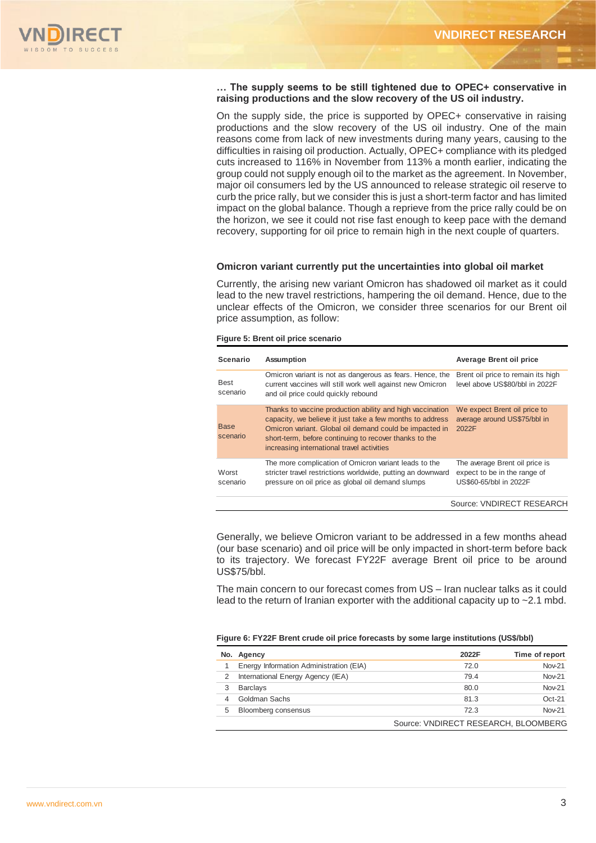

#### **… The supply seems to be still tightened due to OPEC+ conservative in raising productions and the slow recovery of the US oil industry.**

On the supply side, the price is supported by OPEC+ conservative in raising productions and the slow recovery of the US oil industry. One of the main reasons come from lack of new investments during many years, causing to the difficulties in raising oil production. Actually, OPEC+ compliance with its pledged cuts increased to 116% in November from 113% a month earlier, indicating the group could not supply enough oil to the market as the agreement. In November, major oil consumers led by the US announced to release strategic oil reserve to curb the price rally, but we consider this is just a short-term factor and has limited impact on the global balance. Though a reprieve from the price rally could be on the horizon, we see it could not rise fast enough to keep pace with the demand recovery, supporting for oil price to remain high in the next couple of quarters.

#### **Omicron variant currently put the uncertainties into global oil market**

Currently, the arising new variant Omicron has shadowed oil market as it could lead to the new travel restrictions, hampering the oil demand. Hence, due to the unclear effects of the Omicron, we consider three scenarios for our Brent oil price assumption, as follow:

#### **Figure 5: Brent oil price scenario**

| Scenario                | <b>Assumption</b>                                                                                                                                                                                                                                                                         | <b>Average Brent oil price</b>                                                           |
|-------------------------|-------------------------------------------------------------------------------------------------------------------------------------------------------------------------------------------------------------------------------------------------------------------------------------------|------------------------------------------------------------------------------------------|
| <b>Best</b><br>scenario | Omicron variant is not as dangerous as fears. Hence, the<br>current vaccines will still work well against new Omicron<br>and oil price could quickly rebound                                                                                                                              | Brent oil price to remain its high<br>level above US\$80/bbl in 2022F                    |
| <b>Base</b><br>scenario | Thanks to vaccine production ability and high vaccination<br>capacity, we believe it just take a few months to address<br>Omicron variant. Global oil demand could be impacted in<br>short-term, before continuing to recover thanks to the<br>increasing international travel activities | We expect Brent oil price to<br>average around US\$75/bbl in<br>2022F                    |
| Worst<br>scenario       | The more complication of Omicron variant leads to the<br>stricter travel restrictions worldwide, putting an downward<br>pressure on oil price as global oil demand slumps                                                                                                                 | The average Brent oil price is<br>expect to be in the range of<br>US\$60-65/bbl in 2022F |
|                         |                                                                                                                                                                                                                                                                                           | Source: VNDIRECT RESEARCH                                                                |

Generally, we believe Omicron variant to be addressed in a few months ahead (our base scenario) and oil price will be only impacted in short-term before back to its trajectory. We forecast FY22F average Brent oil price to be around US\$75/bbl.

The main concern to our forecast comes from US – Iran nuclear talks as it could lead to the return of Iranian exporter with the additional capacity up to  $\sim$  2.1 mbd.

#### **Figure 6: FY22F Brent crude oil price forecasts by some large institutions (US\$/bbl)**

|   | No. Agency                              | 2022F                                | Time of report |
|---|-----------------------------------------|--------------------------------------|----------------|
|   | Energy Information Administration (EIA) | 72.0                                 | <b>Nov-21</b>  |
|   | International Energy Agency (IEA)       | 79.4                                 | <b>Nov-21</b>  |
|   | <b>Barclays</b>                         | 80.0                                 | <b>Nov-21</b>  |
|   | Goldman Sachs                           | 81.3                                 | $Oct-21$       |
| 5 | Bloomberg consensus                     | 72.3                                 | <b>Nov-21</b>  |
|   |                                         | Source: VNDIRECT RESEARCH, BLOOMBERG |                |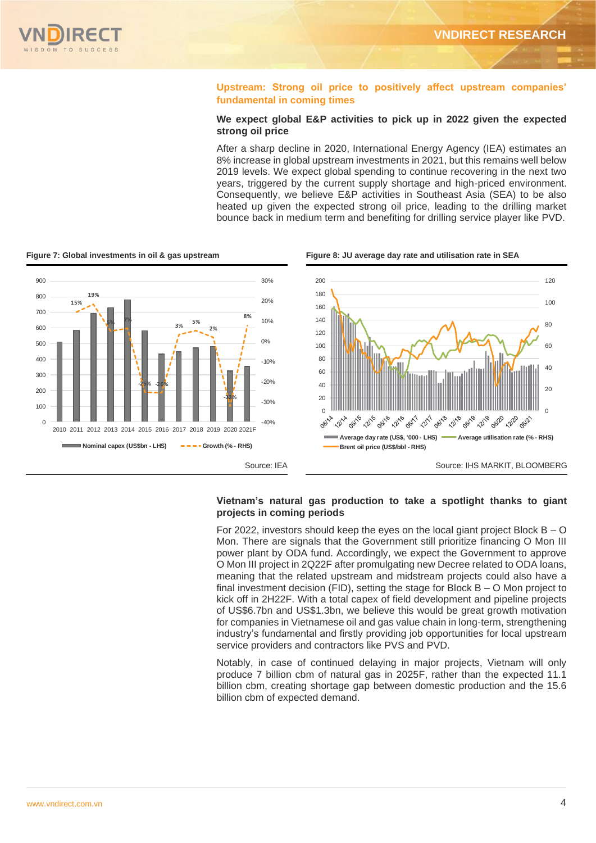### **Upstream: Strong oil price to positively affect upstream companies' fundamental in coming times**

#### **We expect global E&P activities to pick up in 2022 given the expected strong oil price**

After a sharp decline in 2020, International Energy Agency (IEA) estimates an 8% increase in global upstream investments in 2021, but this remains well below 2019 levels. We expect global spending to continue recovering in the next two years, triggered by the current supply shortage and high-priced environment. Consequently, we believe E&P activities in Southeast Asia (SEA) to be also heated up given the expected strong oil price, leading to the drilling market bounce back in medium term and benefiting for drilling service player like PVD.



**Figure 7: Global investments in oil & gas upstream Figure 8: JU average day rate and utilisation rate in SEA**

#### **Vietnam's natural gas production to take a spotlight thanks to giant projects in coming periods**

For 2022, investors should keep the eyes on the local giant project Block  $B - O$ Mon. There are signals that the Government still prioritize financing O Mon III power plant by ODA fund. Accordingly, we expect the Government to approve O Mon III project in 2Q22F after promulgating new Decree related to ODA loans, meaning that the related upstream and midstream projects could also have a final investment decision (FID), setting the stage for Block B – O Mon project to kick off in 2H22F. With a total capex of field development and pipeline projects of US\$6.7bn and US\$1.3bn, we believe this would be great growth motivation for companies in Vietnamese oil and gas value chain in long-term, strengthening industry's fundamental and firstly providing job opportunities for local upstream service providers and contractors like PVS and PVD.

Notably, in case of continued delaying in major projects, Vietnam will only produce 7 billion cbm of natural gas in 2025F, rather than the expected 11.1 billion cbm, creating shortage gap between domestic production and the 15.6 billion cbm of expected demand.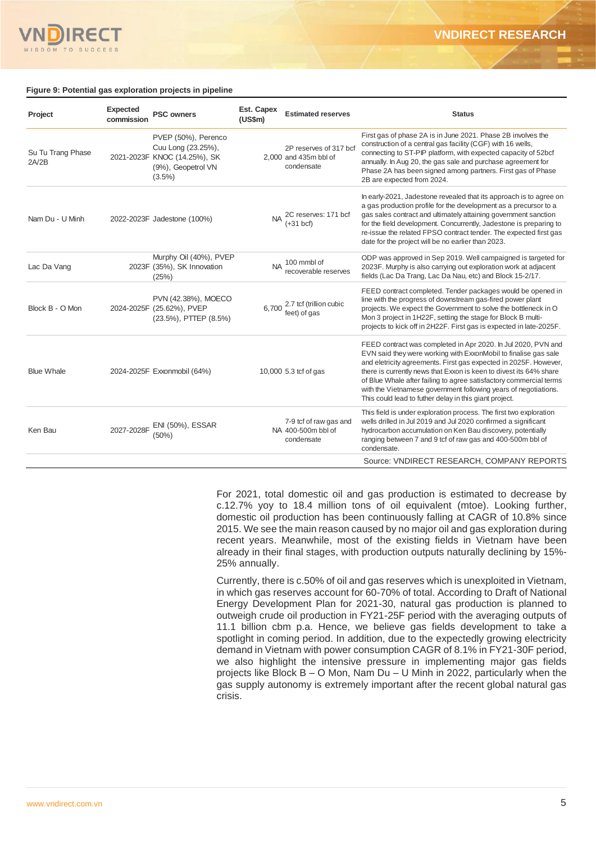

#### **Figure 9: Potential gas exploration projects in pipeline**

| Project                    | <b>Expected</b><br>commission | <b>PSC owners</b>                                                                                            | Est. Capex<br>(US\$m) | <b>Estimated reserves</b>                                     | <b>Status</b>                                                                                                                                                                                                                                                                                                                                                                                                                                                                 |
|----------------------------|-------------------------------|--------------------------------------------------------------------------------------------------------------|-----------------------|---------------------------------------------------------------|-------------------------------------------------------------------------------------------------------------------------------------------------------------------------------------------------------------------------------------------------------------------------------------------------------------------------------------------------------------------------------------------------------------------------------------------------------------------------------|
| Su Tu Trang Phase<br>2A/2B |                               | PVEP (50%), Perenco<br>Cuu Long (23.25%),<br>2021-2023F KNOC (14.25%), SK<br>(9%), Geopetrol VN<br>$(3.5\%)$ |                       | 2P reserves of 317 bcf<br>2,000 and 435m bbl of<br>condensate | First gas of phase 2A is in June 2021. Phase 2B involves the<br>construction of a central gas facility (CGF) with 16 wells,<br>connecting to ST-PIP platform, with expected capacity of 52bcf<br>annually. In Aug 20, the gas sale and purchase agreement for<br>Phase 2A has been signed among partners. First gas of Phase<br>2B are expected from 2024.                                                                                                                    |
| Nam Du - U Minh            |                               | 2022-2023F Jadestone (100%)                                                                                  |                       | 2C reserves: 171 bcf<br>$(+31)$ <sub>bcf</sub>                | In early-2021, Jadestone revealed that its approach is to agree on<br>a gas production profile for the development as a precursor to a<br>gas sales contract and ultimately attaining government sanction<br>for the field development. Concurrently, Jadestone is preparing to<br>re-issue the related FPSO contract tender. The expected first gas<br>date for the project will be no earlier than 2023.                                                                    |
| Lac Da Vang                |                               | Murphy Oil (40%), PVEP<br>2023F (35%), SK Innovation<br>(25%)                                                |                       | 100 mmbl of<br>recoverable reserves                           | ODP was approved in Sep 2019. Well campaigned is targeted for<br>2023F. Murphy is also carrying out exploration work at adjacent<br>fields (Lac Da Trang, Lac Da Nau, etc) and Block 15-2/17.                                                                                                                                                                                                                                                                                 |
| Block B - O Mon            |                               | PVN (42.38%), MOECO<br>2024-2025F (25.62%), PVEP<br>(23.5%), PTTEP (8.5%)                                    | 6.700                 | 2.7 tcf (trillion cubic<br>feet) of gas                       | FEED contract completed. Tender packages would be opened in<br>line with the progress of downstream gas-fired power plant<br>projects. We expect the Government to solve the bottleneck in O<br>Mon 3 project in 1H22F, setting the stage for Block B multi-<br>projects to kick off in 2H22F. First gas is expected in late-2025F.                                                                                                                                           |
| <b>Blue Whale</b>          |                               | 2024-2025F Exxonmobil (64%)                                                                                  |                       | 10,000 5.3 tcf of gas                                         | FEED contract was completed in Apr 2020. In Jul 2020, PVN and<br>EVN said they were working with ExxonMobil to finalise gas sale<br>and eletricity agreements. First gas expected in 2025F. However,<br>there is currently news that Exxon is keen to divest its 64% share<br>of Blue Whale after failing to agree satisfactory commercial terms<br>with the Vietnamese government following years of negotiations.<br>This could lead to futher delay in this giant project. |
| Ken Bau                    | 2027-2028F                    | ENI (50%), ESSAR<br>(50%)                                                                                    |                       | 7-9 tcf of raw gas and<br>NA 400-500m bbl of<br>condensate    | This field is under exploration process. The first two exploration<br>wells drilled in Jul 2019 and Jul 2020 confirmed a significant<br>hydrocarbon accumulation on Ken Bau discovery, potentially<br>ranging between 7 and 9 tcf of raw gas and 400-500m bbl of<br>condensate.                                                                                                                                                                                               |
|                            |                               |                                                                                                              |                       |                                                               | Source: VNDIRECT RESEARCH, COMPANY REPORTS                                                                                                                                                                                                                                                                                                                                                                                                                                    |

For 2021, total domestic oil and gas production is estimated to decrease by c.12.7% yoy to 18.4 million tons of oil equivalent (mtoe). Looking further, domestic oil production has been continuously falling at CAGR of 10.8% since 2015. We see the main reason caused by no major oil and gas exploration during recent years. Meanwhile, most of the existing fields in Vietnam have been already in their final stages, with production outputs naturally declining by 15%- 25% annually.

Currently, there is c.50% of oil and gas reserves which is unexploited in Vietnam, in which gas reserves account for 60-70% of total. According to Draft of National Energy Development Plan for 2021-30, natural gas production is planned to outweigh crude oil production in FY21-25F period with the averaging outputs of 11.1 billion cbm p.a. Hence, we believe gas fields development to take a spotlight in coming period. In addition, due to the expectedly growing electricity demand in Vietnam with power consumption CAGR of 8.1% in FY21-30F period, we also highlight the intensive pressure in implementing major gas fields projects like Block B – O Mon, Nam Du – U Minh in 2022, particularly when the gas supply autonomy is extremely important after the recent global natural gas crisis.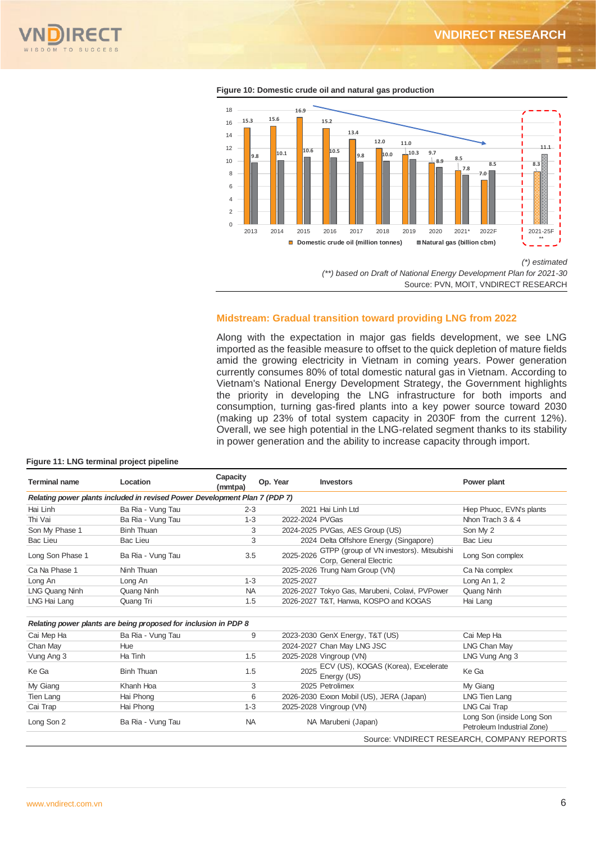



**Figure 10: Domestic crude oil and natural gas production**



Along with the expectation in major gas fields development, we see LNG imported as the feasible measure to offset to the quick depletion of mature fields amid the growing electricity in Vietnam in coming years. Power generation currently consumes 80% of total domestic natural gas in Vietnam. According to Vietnam's National Energy Development Strategy, the Government highlights the priority in developing the LNG infrastructure for both imports and consumption, turning gas-fired plants into a key power source toward 2030 (making up 23% of total system capacity in 2030F from the current 12%). Overall, we see high potential in the LNG-related segment thanks to its stability in power generation and the ability to increase capacity through import.

| <b>Terminal name</b> | Location                                                                   | Capacity<br>(mmtpa) | Op. Year        | <b>Investors</b>                                                   | Power plant                                             |  |  |
|----------------------|----------------------------------------------------------------------------|---------------------|-----------------|--------------------------------------------------------------------|---------------------------------------------------------|--|--|
|                      | Relating power plants included in revised Power Development Plan 7 (PDP 7) |                     |                 |                                                                    |                                                         |  |  |
| Hai Linh             | Ba Ria - Vung Tau                                                          | $2 - 3$             |                 | 2021 Hai Linh Ltd                                                  | Hiep Phuoc, EVN's plants                                |  |  |
| Thi Vai              | Ba Ria - Vung Tau                                                          | $1 - 3$             | 2022-2024 PVGas |                                                                    | Nhon Trach 3 & 4                                        |  |  |
| Son My Phase 1       | <b>Binh Thuan</b>                                                          | 3                   |                 | 2024-2025 PVGas, AES Group (US)                                    | Son My 2                                                |  |  |
| <b>Bac Lieu</b>      | Bac Lieu                                                                   | 3                   |                 | 2024 Delta Offshore Energy (Singapore)                             | <b>Bac Lieu</b>                                         |  |  |
| Long Son Phase 1     | Ba Ria - Vung Tau                                                          | 3.5                 | 2025-2026       | GTPP (group of VN investors). Mitsubishi<br>Corp. General Electric | Long Son complex                                        |  |  |
| Ca Na Phase 1        | Ninh Thuan                                                                 |                     |                 | 2025-2026 Trung Nam Group (VN)                                     | Ca Na complex                                           |  |  |
| Long An              | Long An                                                                    | $1 - 3$             | 2025-2027       |                                                                    | Long An 1, 2                                            |  |  |
| LNG Quang Ninh       | Quang Ninh                                                                 | <b>NA</b>           |                 | 2026-2027 Tokyo Gas, Marubeni, Colavi, PVPower                     | Quang Ninh                                              |  |  |
| LNG Hai Lang         | Quang Tri                                                                  | 1.5                 |                 | 2026-2027 T&T, Hanwa, KOSPO and KOGAS                              | Hai Lang                                                |  |  |
|                      | Relating power plants are being proposed for inclusion in PDP 8            |                     |                 |                                                                    |                                                         |  |  |
| Cai Mep Ha           | Ba Ria - Vung Tau                                                          | 9                   |                 | 2023-2030 GenX Energy, T&T (US)                                    | Cai Mep Ha                                              |  |  |
| Chan May             | Hue                                                                        |                     |                 | 2024-2027 Chan May LNG JSC                                         | <b>LNG Chan May</b>                                     |  |  |
| Vung Ang 3           | Ha Tinh                                                                    | 1.5                 |                 | 2025-2028 Vingroup (VN)                                            | LNG Vung Ang 3                                          |  |  |
| Ke Ga                | <b>Binh Thuan</b>                                                          | 1.5                 | 2025            | ECV (US), KOGAS (Korea), Excelerate<br>Energy (US)                 | Ke Ga                                                   |  |  |
| My Giang             | Khanh Hoa                                                                  | 3                   |                 | 2025 Petrolimex                                                    | My Giang                                                |  |  |
| <b>Tien Lang</b>     | Hai Phong                                                                  | 6                   |                 | 2026-2030 Exxon Mobil (US), JERA (Japan)                           | LNG Tien Lang                                           |  |  |
| Cai Trap             | Hai Phong                                                                  | $1 - 3$             |                 | 2025-2028 Vingroup (VN)                                            | LNG Cai Trap                                            |  |  |
| Long Son 2           | Ba Ria - Vung Tau                                                          | <b>NA</b>           |                 | NA Marubeni (Japan)                                                | Long Son (inside Long Son<br>Petroleum Industrial Zone) |  |  |
|                      |                                                                            |                     |                 |                                                                    | Source: VNDIRECT RESEARCH, COMPANY REPORTS              |  |  |

#### **Figure 11: LNG terminal project pipeline**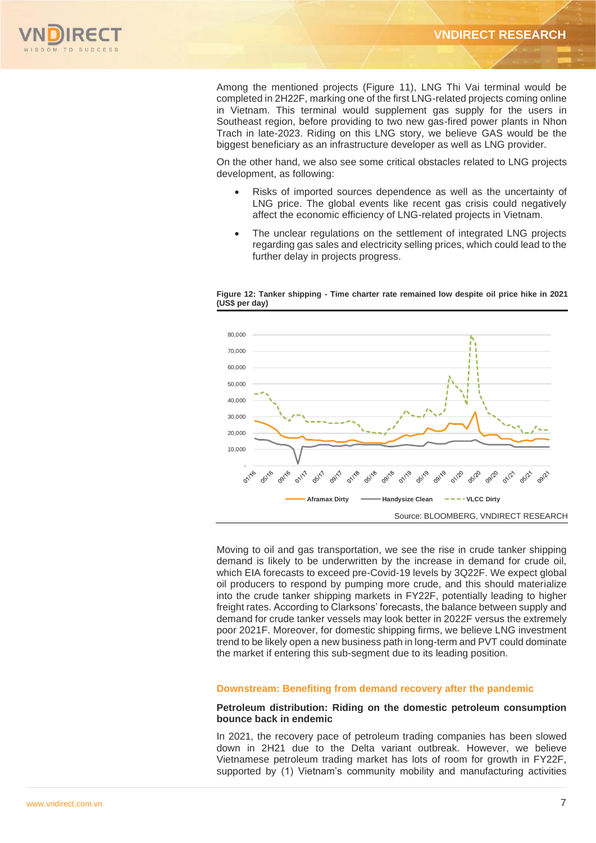

Among the mentioned projects (Figure 11), LNG Thi Vai terminal would be completed in 2H22F, marking one of the first LNG-related projects coming online in Vietnam. This terminal would supplement gas supply for the users in Southeast region, before providing to two new gas-fired power plants in Nhon Trach in late-2023. Riding on this LNG story, we believe GAS would be the biggest beneficiary as an infrastructure developer as well as LNG provider.

On the other hand, we also see some critical obstacles related to LNG projects development, as following:

- Risks of imported sources dependence as well as the uncertainty of LNG price. The global events like recent gas crisis could negatively affect the economic efficiency of LNG-related projects in Vietnam.
- The unclear regulations on the settlement of integrated LNG projects regarding gas sales and electricity selling prices, which could lead to the further delay in projects progress.





Moving to oil and gas transportation, we see the rise in crude tanker shipping demand is likely to be underwritten by the increase in demand for crude oil, which EIA forecasts to exceed pre-Covid-19 levels by 3Q22F. We expect global oil producers to respond by pumping more crude, and this should materialize into the crude tanker shipping markets in FY22F, potentially leading to higher freight rates. According to Clarksons' forecasts, the balance between supply and demand for crude tanker vessels may look better in 2022F versus the extremely poor 2021F. Moreover, for domestic shipping firms, we believe LNG investment trend to be likely open a new business path in long-term and PVT could dominate the market if entering this sub-segment due to its leading position.

#### **Downstream: Benefiting from demand recovery after the pandemic**

#### **Petroleum distribution: Riding on the domestic petroleum consumption bounce back in endemic**

In 2021, the recovery pace of petroleum trading companies has been slowed down in 2H21 due to the Delta variant outbreak. However, we believe Vietnamese petroleum trading market has lots of room for growth in FY22F, supported by (1) Vietnam's community mobility and manufacturing activities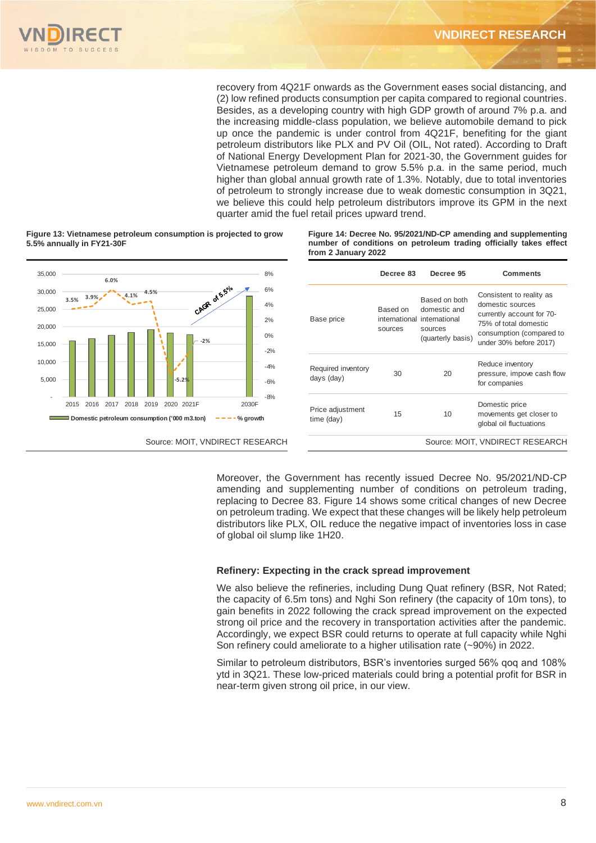recovery from 4Q21F onwards as the Government eases social distancing, and (2) low refined products consumption per capita compared to regional countries. Besides, as a developing country with high GDP growth of around 7% p.a. and the increasing middle-class population, we believe automobile demand to pick up once the pandemic is under control from 4Q21F, benefiting for the giant petroleum distributors like PLX and PV Oil (OIL, Not rated). According to Draft of National Energy Development Plan for 2021-30, the Government guides for Vietnamese petroleum demand to grow 5.5% p.a. in the same period, much higher than global annual growth rate of 1.3%. Notably, due to total inventories of petroleum to strongly increase due to weak domestic consumption in 3Q21, we believe this could help petroleum distributors improve its GPM in the next quarter amid the fuel retail prices upward trend.



**Figure 13: Vietnamese petroleum consumption is projected to grow 5.5% annually in FY21-30F**

**Figure 14: Decree No. 95/2021/ND-CP amending and supplementing number of conditions on petroleum trading officially takes effect from 2 January 2022** 

|                                  | Decree 83           | Decree 95                                                                                    | <b>Comments</b>                                                                                                                                          |
|----------------------------------|---------------------|----------------------------------------------------------------------------------------------|----------------------------------------------------------------------------------------------------------------------------------------------------------|
| Base price                       | Based on<br>sources | Based on both<br>domestic and<br>international international<br>sources<br>(quarterly basis) | Consistent to reality as<br>domestic sources<br>currently account for 70-<br>75% of total domestic<br>consumption (compared to<br>under 30% before 2017) |
| Required inventory<br>days (day) | 30                  | 20                                                                                           | Reduce inventory<br>pressure, impove cash flow<br>for companies                                                                                          |
| Price adjustment<br>time (day)   | 15                  | 10                                                                                           | Domestic price<br>movements get closer to<br>global oil fluctuations                                                                                     |
|                                  |                     |                                                                                              | Source: MOIT, VNDIRECT RESEARCH                                                                                                                          |

Moreover, the Government has recently issued Decree No. 95/2021/ND-CP amending and supplementing number of conditions on petroleum trading, replacing to Decree 83. Figure 14 shows some critical changes of new Decree on petroleum trading. We expect that these changes will be likely help petroleum distributors like PLX, OIL reduce the negative impact of inventories loss in case of global oil slump like 1H20.

#### **Refinery: Expecting in the crack spread improvement**

We also believe the refineries, including Dung Quat refinery (BSR, Not Rated; the capacity of 6.5m tons) and Nghi Son refinery (the capacity of 10m tons), to gain benefits in 2022 following the crack spread improvement on the expected strong oil price and the recovery in transportation activities after the pandemic. Accordingly, we expect BSR could returns to operate at full capacity while Nghi Son refinery could ameliorate to a higher utilisation rate (~90%) in 2022.

Similar to petroleum distributors, BSR's inventories surged 56% qoq and 108% ytd in 3Q21. These low-priced materials could bring a potential profit for BSR in near-term given strong oil price, in our view.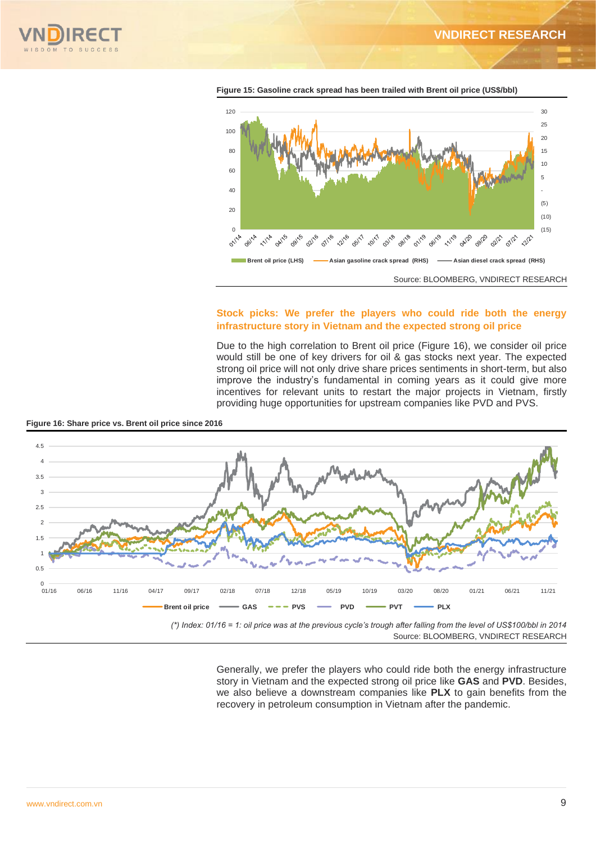



**Figure 15: Gasoline crack spread has been trailed with Brent oil price (US\$/bbl)**

#### **Stock picks: We prefer the players who could ride both the energy infrastructure story in Vietnam and the expected strong oil price**

Due to the high correlation to Brent oil price (Figure 16), we consider oil price would still be one of key drivers for oil & gas stocks next year. The expected strong oil price will not only drive share prices sentiments in short-term, but also improve the industry's fundamental in coming years as it could give more incentives for relevant units to restart the major projects in Vietnam, firstly providing huge opportunities for upstream companies like PVD and PVS.



**Figure 16: Share price vs. Brent oil price since 2016**

*(\*) Index: 01/16 = 1: oil price was at the previous cycle's trough after falling from the level of US\$100/bbl in 2014*  Source: BLOOMBERG, VNDIRECT RESEARCH

> Generally, we prefer the players who could ride both the energy infrastructure story in Vietnam and the expected strong oil price like **GAS** and **PVD**. Besides, we also believe a downstream companies like **PLX** to gain benefits from the recovery in petroleum consumption in Vietnam after the pandemic.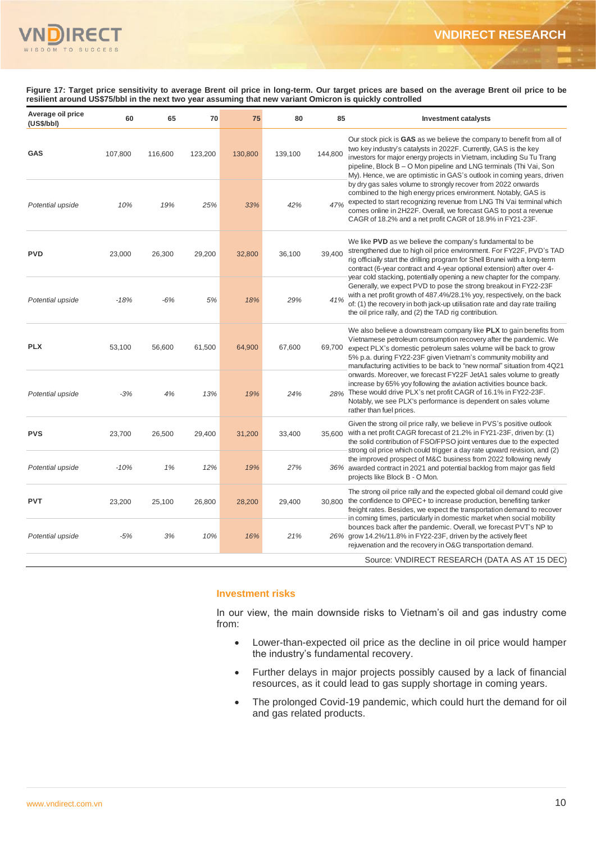

**Figure 17: Target price sensitivity to average Brent oil price in long-term. Our target prices are based on the average Brent oil price to be resilient around US\$75/bbl in the next two year assuming that new variant Omicron is quickly controlled**

| Average oil price<br>(US\$/bbI) | 60      | 65      | 70      | 75      | 80      | 85      | <b>Investment catalysts</b>                                                                                                                                                                                                                                                                                                                                          |
|---------------------------------|---------|---------|---------|---------|---------|---------|----------------------------------------------------------------------------------------------------------------------------------------------------------------------------------------------------------------------------------------------------------------------------------------------------------------------------------------------------------------------|
| <b>GAS</b>                      | 107,800 | 116,600 | 123,200 | 130,800 | 139,100 | 144,800 | Our stock pick is GAS as we believe the company to benefit from all of<br>two key industry's catalysts in 2022F. Currently, GAS is the key<br>investors for major energy projects in Vietnam, including Su Tu Trang<br>pipeline, Block B - O Mon pipeline and LNG terminals (Thi Vai, Son<br>My). Hence, we are optimistic in GAS's outlook in coming years, driven  |
| Potential upside                | 10%     | 19%     | 25%     | 33%     | 42%     | 47%     | by dry gas sales volume to strongly recover from 2022 onwards<br>combined to the high energy prices environment. Notably, GAS is<br>expected to start recognizing revenue from LNG Thi Vai terminal which<br>comes online in 2H22F. Overall, we forecast GAS to post a revenue<br>CAGR of 18.2% and a net profit CAGR of 18.9% in FY21-23F.                          |
| <b>PVD</b>                      | 23,000  | 26,300  | 29,200  | 32,800  | 36,100  | 39,400  | We like PVD as we believe the company's fundamental to be<br>strengthened due to high oil price environment. For FY22F, PVD's TAD<br>rig officially start the drilling program for Shell Brunei with a long-term<br>contract (6-year contract and 4-year optional extension) after over 4-<br>year cold stacking, potentially opening a new chapter for the company. |
| Potential upside                | $-18%$  | $-6%$   | 5%      | 18%     | 29%     | 41%     | Generally, we expect PVD to pose the strong breakout in FY22-23F<br>with a net profit growth of 487.4%/28.1% yoy, respectively, on the back<br>of: (1) the recovery in both jack-up utilisation rate and day rate trailing<br>the oil price rally, and (2) the TAD rig contribution.                                                                                 |
| <b>PLX</b>                      | 53,100  | 56,600  | 61,500  | 64,900  | 67,600  | 69,700  | We also believe a downstream company like PLX to gain benefits from<br>Vietnamese petroleum consumption recovery after the pandemic. We<br>expect PLX's domestic petroleum sales volume will be back to grow<br>5% p.a. during FY22-23F given Vietnam's community mobility and<br>manufacturing activities to be back to "new normal" situation from 4Q21            |
| Potential upside                | $-3%$   | 4%      | 13%     | 19%     | 24%     | 28%     | onwards. Moreover, we forecast FY22F JetA1 sales volume to greatly<br>increase by 65% yoy following the aviation activities bounce back.<br>These would drive PLX's net profit CAGR of 16.1% in FY22-23F.<br>Notably, we see PLX's performance is dependent on sales volume<br>rather than fuel prices.                                                              |
| <b>PVS</b>                      | 23,700  | 26,500  | 29,400  | 31,200  | 33,400  | 35.600  | Given the strong oil price rally, we believe in PVS's positive outlook<br>with a net profit CAGR forecast of 21.2% in FY21-23F, driven by: (1)<br>the solid contribution of FSO/FPSO joint ventures due to the expected                                                                                                                                              |
| Potential upside                | $-10%$  | 1%      | 12%     | 19%     | 27%     |         | strong oil price which could trigger a day rate upward revision, and (2)<br>the improved prospect of M&C business from 2022 following newly<br>36% awarded contract in 2021 and potential backlog from major gas field<br>projects like Block B - O Mon.                                                                                                             |
| <b>PVT</b>                      | 23,200  | 25,100  | 26,800  | 28,200  | 29,400  | 30,800  | The strong oil price rally and the expected global oil demand could give<br>the confidence to OPEC+ to increase production, benefiting tanker<br>freight rates. Besides, we expect the transportation demand to recover<br>in coming times, particularly in domestic market when social mobility                                                                     |
| Potential upside                | $-5%$   | 3%      | 10%     | 16%     | 21%     |         | bounces back after the pandemic. Overall, we forecast PVT's NP to<br>26% grow 14.2%/11.8% in FY22-23F, driven by the actively fleet<br>rejuvenation and the recovery in O&G transportation demand.                                                                                                                                                                   |
|                                 |         |         |         |         |         |         | Source: VNDIRECT RESEARCH (DATA AS AT 15 DEC)                                                                                                                                                                                                                                                                                                                        |

#### **Investment risks**

In our view, the main downside risks to Vietnam's oil and gas industry come from:

- Lower-than-expected oil price as the decline in oil price would hamper the industry's fundamental recovery.
- Further delays in major projects possibly caused by a lack of financial resources, as it could lead to gas supply shortage in coming years.
- The prolonged Covid-19 pandemic, which could hurt the demand for oil and gas related products.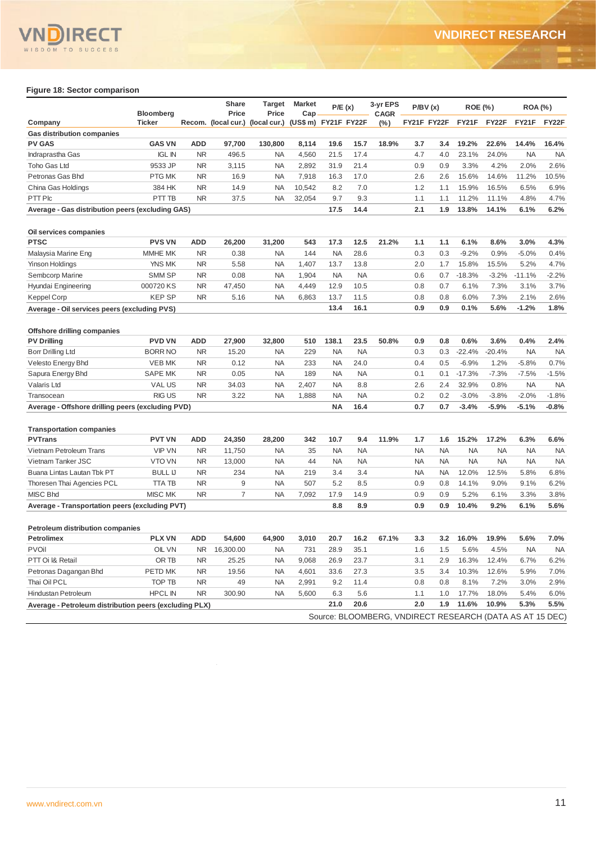

#### **Figure 18: Sector comparison**

|                                                        | <b>Bloomberg</b> |            | Share<br>Price | Target<br>Price                                       | <b>Market</b><br>Cap | P/E(x)    |           | 3-yr EPS<br><b>CAGR</b>                                  | P/BV(x)   |             | <b>ROE (%)</b> |           | <b>ROA</b> (%) |           |
|--------------------------------------------------------|------------------|------------|----------------|-------------------------------------------------------|----------------------|-----------|-----------|----------------------------------------------------------|-----------|-------------|----------------|-----------|----------------|-----------|
| Company                                                | Ticker           |            |                | Recom. (local cur.) (local cur.) (US\$ m) FY21F FY22F |                      |           |           | (%)                                                      |           | FY21F FY22F | FY21F          | FY22F     | FY21F          | FY22F     |
| <b>Gas distribution companies</b>                      |                  |            |                |                                                       |                      |           |           |                                                          |           |             |                |           |                |           |
| <b>PV GAS</b>                                          | <b>GAS VN</b>    | ADD        | 97,700         | 130,800                                               | 8,114                | 19.6      | 15.7      | 18.9%                                                    | 3.7       | 3.4         | 19.2%          | 22.6%     | 14.4%          | 16.4%     |
| Indraprastha Gas                                       | <b>IGL IN</b>    | <b>NR</b>  | 496.5          | NA                                                    | 4,560                | 21.5      | 17.4      |                                                          | 4.7       | 4.0         | 23.1%          | 24.0%     | <b>NA</b>      | <b>NA</b> |
| <b>Toho Gas Ltd</b>                                    | 9533 JP          | <b>NR</b>  | 3,115          | <b>NA</b>                                             | 2,892                | 31.9      | 21.4      |                                                          | 0.9       | 0.9         | 3.3%           | 4.2%      | 2.0%           | 2.6%      |
| Petronas Gas Bhd                                       | PTG MK           | ΝR         | 16.9           | NA                                                    | 7,918                | 16.3      | 17.0      |                                                          | 2.6       | 2.6         | 15.6%          | 14.6%     | 11.2%          | 10.5%     |
| China Gas Holdings                                     | 384 HK           | NR         | 14.9           | NA                                                    | 10,542               | 8.2       | 7.0       |                                                          | 1.2       | 1.1         | 15.9%          | 16.5%     | 6.5%           | 6.9%      |
| PTT Plc                                                | PTT TB           | <b>NR</b>  | 37.5           | NA                                                    | 32,054               | 9.7       | 9.3       |                                                          | 1.1       | 1.1         | 11.2%          | 11.1%     | 4.8%           | 4.7%      |
| Average - Gas distribution peers (excluding GAS)       |                  |            |                |                                                       |                      | 17.5      | 14.4      |                                                          | 2.1       | 1.9         | 13.8%          | 14.1%     | 6.1%           | 6.2%      |
|                                                        |                  |            |                |                                                       |                      |           |           |                                                          |           |             |                |           |                |           |
| Oil services companies                                 |                  |            |                |                                                       |                      |           |           |                                                          |           |             |                |           |                |           |
| <b>PTSC</b>                                            | <b>PVS VN</b>    | <b>ADD</b> | 26,200         | 31,200                                                | 543                  | 17.3      | 12.5      | 21.2%                                                    | 1.1       | 1.1         | 6.1%           | 8.6%      | 3.0%           | 4.3%      |
| Malaysia Marine Eng                                    | MMHE MK          | <b>NR</b>  | 0.38           | NA                                                    | 144                  | <b>NA</b> | 28.6      |                                                          | 0.3       | 0.3         | $-9.2%$        | 0.9%      | $-5.0%$        | 0.4%      |
| Yinson Holdings                                        | YNS MK           | <b>NR</b>  | 5.58           | <b>NA</b>                                             | 1,407                | 13.7      | 13.8      |                                                          | 2.0       | 1.7         | 15.8%          | 15.5%     | 5.2%           | 4.7%      |
| Sembcorp Marine                                        | <b>SMM SP</b>    | <b>NR</b>  | 0.08           | <b>NA</b>                                             | 1,904                | <b>NA</b> | <b>NA</b> |                                                          | 0.6       | 0.7         | $-18.3%$       | $-3.2%$   | $-11.1%$       | $-2.2%$   |
| Hyundai Engineering                                    | 000720 KS        | <b>NR</b>  | 47,450         | <b>NA</b>                                             | 4,449                | 12.9      | 10.5      |                                                          | 0.8       | 0.7         | 6.1%           | 7.3%      | 3.1%           | 3.7%      |
| Keppel Corp                                            | <b>KEPSP</b>     | NR         | 5.16           | NA                                                    | 6,863                | 13.7      | 11.5      |                                                          | 0.8       | 0.8         | 6.0%           | 7.3%      | 2.1%           | 2.6%      |
| Average - Oil services peers (excluding PVS)           |                  |            |                |                                                       |                      | 13.4      | 16.1      |                                                          | 0.9       | 0.9         | 0.1%           | 5.6%      | $-1.2%$        | 1.8%      |
|                                                        |                  |            |                |                                                       |                      |           |           |                                                          |           |             |                |           |                |           |
| Offshore drilling companies                            |                  |            |                |                                                       |                      |           |           |                                                          |           |             |                |           |                |           |
| <b>PV Drilling</b>                                     | <b>PVD VN</b>    | <b>ADD</b> | 27,900         | 32,800                                                | 510                  | 138.1     | 23.5      | 50.8%                                                    | 0.9       | 0.8         | 0.6%           | 3.6%      | 0.4%           | 2.4%      |
| Borr Drilling Ltd                                      | <b>BORR NO</b>   | NR         | 15.20          | NA                                                    | 229                  | <b>NA</b> | <b>NA</b> |                                                          | 0.3       | 0.3         | $-22.4%$       | $-20.4%$  | <b>NA</b>      | <b>NA</b> |
| Velesto Energy Bhd                                     | <b>VEB MK</b>    | NR         | 0.12           | NA                                                    | 233                  | NA        | 24.0      |                                                          | 0.4       | 0.5         | $-6.9%$        | 1.2%      | $-5.8%$        | 0.7%      |
| Sapura Energy Bhd                                      | <b>SAPE MK</b>   | <b>NR</b>  | 0.05           | <b>NA</b>                                             | 189                  | <b>NA</b> | <b>NA</b> |                                                          | 0.1       | 0.1         | $-17.3%$       | $-7.3%$   | $-7.5%$        | $-1.5%$   |
| Valaris Ltd                                            | <b>VALUS</b>     | <b>NR</b>  | 34.03          | NA                                                    | 2,407                | <b>NA</b> | 8.8       |                                                          | 2.6       | 2.4         | 32.9%          | 0.8%      | <b>NA</b>      | <b>NA</b> |
| Transocean                                             | <b>RIGUS</b>     | <b>NR</b>  | 3.22           | <b>NA</b>                                             | 1,888                | <b>NA</b> | <b>NA</b> |                                                          | 0.2       | 0.2         | $-3.0%$        | $-3.8%$   | $-2.0%$        | $-1.8%$   |
| Average - Offshore drilling peers (excluding PVD)      |                  |            |                |                                                       |                      | <b>NA</b> | 16.4      |                                                          | 0.7       | 0.7         | $-3.4%$        | $-5.9%$   | $-5.1%$        | $-0.8\%$  |
|                                                        |                  |            |                |                                                       |                      |           |           |                                                          |           |             |                |           |                |           |
| <b>Transportation companies</b>                        |                  |            |                |                                                       |                      |           |           |                                                          |           |             |                |           |                |           |
| <b>PVTrans</b>                                         | <b>PVT VN</b>    | <b>ADD</b> | 24,350         | 28,200                                                | 342                  | 10.7      | 9.4       | 11.9%                                                    | 1.7       | 1.6         | 15.2%          | 17.2%     | 6.3%           | 6.6%      |
| Vietnam Petroleum Trans                                | <b>VIP VN</b>    | <b>NR</b>  | 11,750         | NA                                                    | 35                   | <b>NA</b> | <b>NA</b> |                                                          | <b>NA</b> | <b>NA</b>   | <b>NA</b>      | <b>NA</b> | <b>NA</b>      | <b>NA</b> |
| Vietnam Tanker JSC                                     | <b>VTO VN</b>    | <b>NR</b>  | 13,000         | NA                                                    | 44                   | <b>NA</b> | <b>NA</b> |                                                          | <b>NA</b> | <b>NA</b>   | <b>NA</b>      | <b>NA</b> | <b>NA</b>      | <b>NA</b> |
| Buana Lintas Lautan Tbk PT                             | <b>BULL IJ</b>   | <b>NR</b>  | 234            | <b>NA</b>                                             | 219                  | 3.4       | 3.4       |                                                          | ΝA        | NA          | 12.0%          | 12.5%     | 5.8%           | 6.8%      |
| Thoresen Thai Agencies PCL                             | <b>TTA TB</b>    | <b>NR</b>  | 9              | NA                                                    | 507                  | 5.2       | 8.5       |                                                          | 0.9       | 0.8         | 14.1%          | 9.0%      | 9.1%           | 6.2%      |
| MISC Bhd                                               | <b>MISC MK</b>   | <b>NR</b>  | 7              | <b>NA</b>                                             | 7,092                | 17.9      | 14.9      |                                                          | 0.9       | 0.9         | 5.2%           | 6.1%      | 3.3%           | 3.8%      |
| Average - Transportation peers (excluding PVT)         |                  |            |                |                                                       |                      | 8.8       | 8.9       |                                                          | 0.9       | 0.9         | 10.4%          | 9.2%      | 6.1%           | 5.6%      |
|                                                        |                  |            |                |                                                       |                      |           |           |                                                          |           |             |                |           |                |           |
| <b>Petroleum distribution companies</b>                |                  |            |                |                                                       |                      |           |           |                                                          |           |             |                |           |                |           |
| <b>Petrolimex</b>                                      | <b>PLX VN</b>    | <b>ADD</b> | 54,600         | 64,900                                                | 3,010                | 20.7      | 16.2      | 67.1%                                                    | 3.3       | 3.2         | 16.0%          | 19.9%     | 5.6%           | 7.0%      |
| <b>PVOil</b>                                           | OIL VN           | NR.        | 16,300.00      | ΝA                                                    | 731                  | 28.9      | 35.1      |                                                          | 1.6       | 1.5         | 5.6%           | 4.5%      | <b>NA</b>      | <b>NA</b> |
| PTT Oi I& Retail                                       | OR TB            | <b>NR</b>  | 25.25          | NA                                                    | 9,068                | 26.9      | 23.7      |                                                          | 3.1       | 2.9         | 16.3%          | 12.4%     | 6.7%           | 6.2%      |
| Petronas Dagangan Bhd                                  | PETD MK          | <b>NR</b>  | 19.56          | NA                                                    | 4,601                | 33.6      | 27.3      |                                                          | 3.5       | 3.4         | 10.3%          | 12.6%     | 5.9%           | 7.0%      |
| Thai Oil PCL                                           | TOP TB           | <b>NR</b>  | 49             | NA                                                    | 2,991                | 9.2       | 11.4      |                                                          | 0.8       | 0.8         | 8.1%           | 7.2%      | 3.0%           | 2.9%      |
| Hindustan Petroleum                                    | <b>HPCL IN</b>   | <b>NR</b>  | 300.90         | <b>NA</b>                                             | 5,600                | 6.3       | 5.6       |                                                          | 1.1       | 1.0         | 17.7%          | 18.0%     | 5.4%           | 6.0%      |
| Average - Petroleum distribution peers (excluding PLX) |                  |            |                |                                                       |                      | 21.0      | 20.6      |                                                          | 2.0       | 1.9         | 11.6%          | 10.9%     | 5.3%           | 5.5%      |
|                                                        |                  |            |                |                                                       |                      |           |           | Source: BLOOMBERG, VNDIRECT RESEARCH (DATA AS AT 15 DEC) |           |             |                |           |                |           |